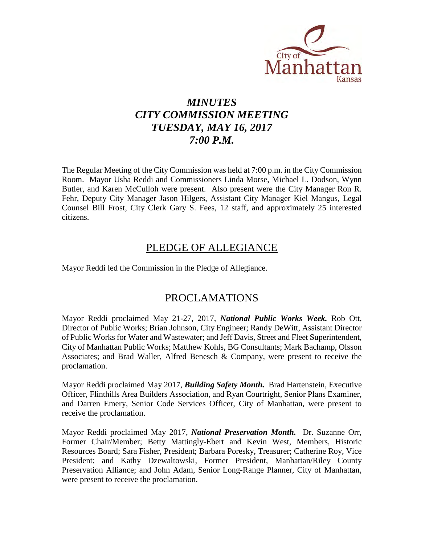

# *MINUTES CITY COMMISSION MEETING TUESDAY, MAY 16, 2017 7:00 P.M.*

The Regular Meeting of the City Commission was held at 7:00 p.m. in the City Commission Room. Mayor Usha Reddi and Commissioners Linda Morse, Michael L. Dodson, Wynn Butler, and Karen McCulloh were present. Also present were the City Manager Ron R. Fehr, Deputy City Manager Jason Hilgers, Assistant City Manager Kiel Mangus, Legal Counsel Bill Frost, City Clerk Gary S. Fees, 12 staff, and approximately 25 interested citizens.

# PLEDGE OF ALLEGIANCE

Mayor Reddi led the Commission in the Pledge of Allegiance.

# PROCLAMATIONS

Mayor Reddi proclaimed May 21-27, 2017, *National Public Works Week.* Rob Ott, Director of Public Works; Brian Johnson, City Engineer; Randy DeWitt, Assistant Director of Public Works for Water and Wastewater; and Jeff Davis, Street and Fleet Superintendent, City of Manhattan Public Works; Matthew Kohls, BG Consultants; Mark Bachamp, Olsson Associates; and Brad Waller, Alfred Benesch & Company, were present to receive the proclamation.

Mayor Reddi proclaimed May 2017, *Building Safety Month.* Brad Hartenstein, Executive Officer, Flinthills Area Builders Association, and Ryan Courtright, Senior Plans Examiner, and Darren Emery, Senior Code Services Officer, City of Manhattan, were present to receive the proclamation.

Mayor Reddi proclaimed May 2017, *National Preservation Month.* Dr. Suzanne Orr, Former Chair/Member; Betty Mattingly-Ebert and Kevin West, Members, Historic Resources Board; Sara Fisher, President; Barbara Poresky, Treasurer; Catherine Roy, Vice President; and Kathy Dzewaltowski, Former President, Manhattan/Riley County Preservation Alliance; and John Adam, Senior Long-Range Planner, City of Manhattan, were present to receive the proclamation.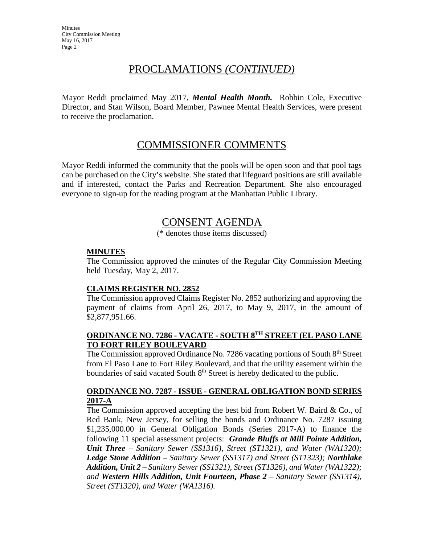# PROCLAMATIONS *(CONTINUED)*

Mayor Reddi proclaimed May 2017, *Mental Health Month.* Robbin Cole, Executive Director, and Stan Wilson, Board Member, Pawnee Mental Health Services, were present to receive the proclamation.

# COMMISSIONER COMMENTS

Mayor Reddi informed the community that the pools will be open soon and that pool tags can be purchased on the City's website. She stated that lifeguard positions are still available and if interested, contact the Parks and Recreation Department. She also encouraged everyone to sign-up for the reading program at the Manhattan Public Library.

# CONSENT AGENDA

(\* denotes those items discussed)

# **MINUTES**

The Commission approved the minutes of the Regular City Commission Meeting held Tuesday, May 2, 2017.

### **CLAIMS REGISTER NO. 2852**

The Commission approved Claims Register No. 2852 authorizing and approving the payment of claims from April 26, 2017, to May 9, 2017, in the amount of \$2,877,951.66.

## **ORDINANCE NO. 7286 - VACATE - SOUTH 8TH STREET (EL PASO LANE TO FORT RILEY BOULEVARD**

The Commission approved Ordinance No. 7286 vacating portions of South 8<sup>th</sup> Street from El Paso Lane to Fort Riley Boulevard, and that the utility easement within the boundaries of said vacated South 8<sup>th</sup> Street is hereby dedicated to the public.

## **ORDINANCE NO. 7287 - ISSUE - GENERAL OBLIGATION BOND SERIES 2017-A**

The Commission approved accepting the best bid from Robert W. Baird  $\&$  Co., of Red Bank, New Jersey, for selling the bonds and Ordinance No. 7287 issuing \$1,235,000.00 in General Obligation Bonds (Series 2017-A) to finance the following 11 special assessment projects: *Grande Bluffs at Mill Pointe Addition, Unit Three* – *Sanitary Sewer (SS1316), Street (ST1321), and Water (WA1320); Ledge Stone Addition – Sanitary Sewer (SS1317) and Street (ST1323); Northlake Addition, Unit 2 – Sanitary Sewer (SS1321), Street (ST1326), and Water (WA1322); and Western Hills Addition, Unit Fourteen, Phase 2 – Sanitary Sewer (SS1314), Street (ST1320), and Water (WA1316).*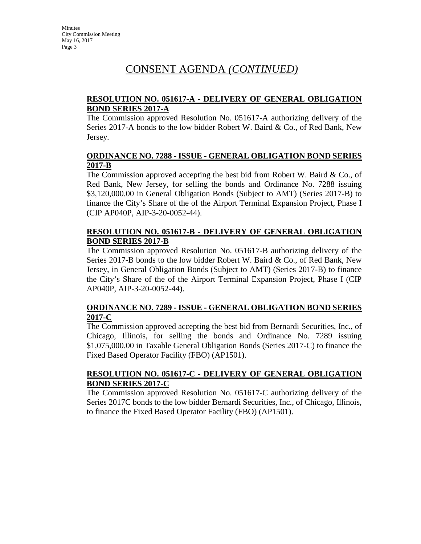# CONSENT AGENDA *(CONTINUED)*

# **RESOLUTION NO. 051617-A - DELIVERY OF GENERAL OBLIGATION BOND SERIES 2017-A**

The Commission approved Resolution No. 051617-A authorizing delivery of the Series 2017-A bonds to the low bidder Robert W. Baird & Co., of Red Bank, New Jersey.

## **ORDINANCE NO. 7288 - ISSUE - GENERAL OBLIGATION BOND SERIES 2017-B**

The Commission approved accepting the best bid from Robert W. Baird  $\&$  Co., of Red Bank, New Jersey, for selling the bonds and Ordinance No. 7288 issuing \$3,120,000.00 in General Obligation Bonds (Subject to AMT) (Series 2017-B) to finance the City's Share of the of the Airport Terminal Expansion Project, Phase I (CIP AP040P, AIP-3-20-0052-44).

# **RESOLUTION NO. 051617-B - DELIVERY OF GENERAL OBLIGATION BOND SERIES 2017-B**

The Commission approved Resolution No. 051617-B authorizing delivery of the Series 2017-B bonds to the low bidder Robert W. Baird & Co., of Red Bank, New Jersey, in General Obligation Bonds (Subject to AMT) (Series 2017-B) to finance the City's Share of the of the Airport Terminal Expansion Project, Phase I (CIP AP040P, AIP-3-20-0052-44).

# **ORDINANCE NO. 7289 - ISSUE - GENERAL OBLIGATION BOND SERIES 2017-C**

The Commission approved accepting the best bid from Bernardi Securities, Inc., of Chicago, Illinois, for selling the bonds and Ordinance No. 7289 issuing \$1,075,000.00 in Taxable General Obligation Bonds (Series 2017-C) to finance the Fixed Based Operator Facility (FBO) (AP1501).

# **RESOLUTION NO. 051617-C - DELIVERY OF GENERAL OBLIGATION BOND SERIES 2017-C**

The Commission approved Resolution No. 051617-C authorizing delivery of the Series 2017C bonds to the low bidder Bernardi Securities, Inc., of Chicago, Illinois, to finance the Fixed Based Operator Facility (FBO) (AP1501).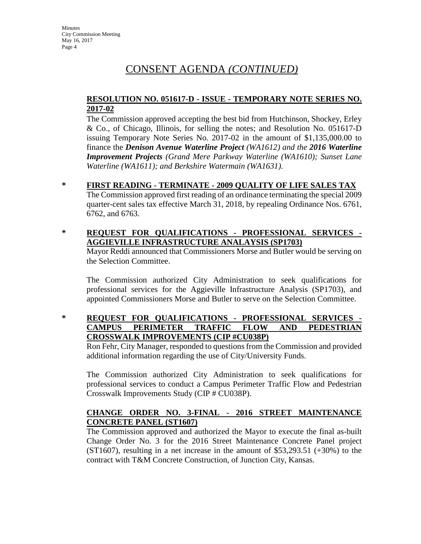# CONSENT AGENDA *(CONTINUED)*

## **RESOLUTION NO. 051617-D - ISSUE - TEMPORARY NOTE SERIES NO. 2017-02**

The Commission approved accepting the best bid from Hutchinson, Shockey, Erley & Co., of Chicago, Illinois, for selling the notes; and Resolution No. 051617-D issuing Temporary Note Series No. 2017-02 in the amount of \$1,135,000.00 to finance the *Denison Avenue Waterline Project (WA1612) and the 2016 Waterline Improvement Projects (Grand Mere Parkway Waterline (WA1610); Sunset Lane Waterline (WA1611); and Berkshire Watermain (WA1631).*

- **\* FIRST READING TERMINATE 2009 QUALITY OF LIFE SALES TAX** The Commission approved first reading of an ordinance terminating the special 2009 quarter-cent sales tax effective March 31, 2018, by repealing Ordinance Nos. 6761, 6762, and 6763.
- **\* REQUEST FOR QUALIFICATIONS PROFESSIONAL SERVICES AGGIEVILLE INFRASTRUCTURE ANALAYSIS (SP1703)**

Mayor Reddi announced that Commissioners Morse and Butler would be serving on the Selection Committee.

The Commission authorized City Administration to seek qualifications for professional services for the Aggieville Infrastructure Analysis (SP1703), and appointed Commissioners Morse and Butler to serve on the Selection Committee.

**\* REQUEST FOR QUALIFICATIONS - PROFESSIONAL SERVICES - CAMPUS PERIMETER TRAFFIC FLOW AND PEDESTRIAN CROSSWALK IMPROVEMENTS (CIP #CU038P)** 

Ron Fehr, City Manager, responded to questions from the Commission and provided additional information regarding the use of City/University Funds.

The Commission authorized City Administration to seek qualifications for professional services to conduct a Campus Perimeter Traffic Flow and Pedestrian Crosswalk Improvements Study (CIP # CU038P).

# **CHANGE ORDER NO. 3-FINAL - 2016 STREET MAINTENANCE CONCRETE PANEL (ST1607)**

The Commission approved and authorized the Mayor to execute the final as-built Change Order No. 3 for the 2016 Street Maintenance Concrete Panel project  $(ST1607)$ , resulting in a net increase in the amount of \$53,293.51 (+30%) to the contract with T&M Concrete Construction, of Junction City, Kansas.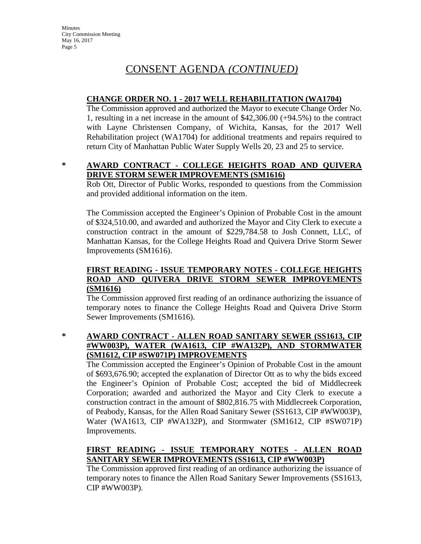# CONSENT AGENDA *(CONTINUED)*

## **CHANGE ORDER NO. 1 - 2017 WELL REHABILITATION (WA1704)**

The Commission approved and authorized the Mayor to execute Change Order No. 1, resulting in a net increase in the amount of \$42,306.00 (+94.5%) to the contract with Layne Christensen Company, of Wichita, Kansas, for the 2017 Well Rehabilitation project (WA1704) for additional treatments and repairs required to return City of Manhattan Public Water Supply Wells 20, 23 and 25 to service.

## **\* AWARD CONTRACT - COLLEGE HEIGHTS ROAD AND QUIVERA DRIVE STORM SEWER IMPROVEMENTS (SM1616)**

Rob Ott, Director of Public Works, responded to questions from the Commission and provided additional information on the item.

The Commission accepted the Engineer's Opinion of Probable Cost in the amount of \$324,510.00, and awarded and authorized the Mayor and City Clerk to execute a construction contract in the amount of \$229,784.58 to Josh Connett, LLC, of Manhattan Kansas, for the College Heights Road and Quivera Drive Storm Sewer Improvements (SM1616).

# **FIRST READING - ISSUE TEMPORARY NOTES - COLLEGE HEIGHTS ROAD AND QUIVERA DRIVE STORM SEWER IMPROVEMENTS (SM1616)**

The Commission approved first reading of an ordinance authorizing the issuance of temporary notes to finance the College Heights Road and Quivera Drive Storm Sewer Improvements (SM1616).

# **\* AWARD CONTRACT - ALLEN ROAD SANITARY SEWER (SS1613, CIP #WW003P), WATER (WA1613, CIP #WA132P), AND STORMWATER (SM1612, CIP #SW071P) IMPROVEMENTS**

The Commission accepted the Engineer's Opinion of Probable Cost in the amount of \$693,676.90; accepted the explanation of Director Ott as to why the bids exceed the Engineer's Opinion of Probable Cost; accepted the bid of Middlecreek Corporation; awarded and authorized the Mayor and City Clerk to execute a construction contract in the amount of \$802,816.75 with Middlecreek Corporation, of Peabody, Kansas, for the Allen Road Sanitary Sewer (SS1613, CIP #WW003P), Water (WA1613, CIP #WA132P), and Stormwater (SM1612, CIP #SW071P) Improvements.

# **FIRST READING - ISSUE TEMPORARY NOTES - ALLEN ROAD SANITARY SEWER IMPROVEMENTS (SS1613, CIP #WW003P)**

The Commission approved first reading of an ordinance authorizing the issuance of temporary notes to finance the Allen Road Sanitary Sewer Improvements (SS1613, CIP #WW003P).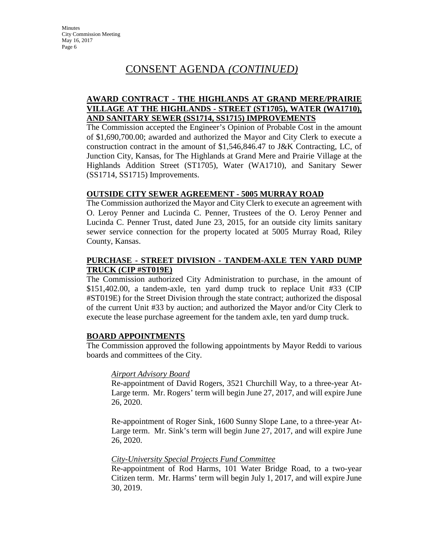# CONSENT AGENDA *(CONTINUED)*

# **AWARD CONTRACT - THE HIGHLANDS AT GRAND MERE/PRAIRIE VILLAGE AT THE HIGHLANDS - STREET (ST1705), WATER (WA1710), AND SANITARY SEWER (SS1714, SS1715) IMPROVEMENTS**

The Commission accepted the Engineer's Opinion of Probable Cost in the amount of \$1,690,700.00; awarded and authorized the Mayor and City Clerk to execute a construction contract in the amount of \$1,546,846.47 to J&K Contracting, LC, of Junction City, Kansas, for The Highlands at Grand Mere and Prairie Village at the Highlands Addition Street (ST1705), Water (WA1710), and Sanitary Sewer (SS1714, SS1715) Improvements.

# **OUTSIDE CITY SEWER AGREEMENT - 5005 MURRAY ROAD**

The Commission authorized the Mayor and City Clerk to execute an agreement with O. Leroy Penner and Lucinda C. Penner, Trustees of the O. Leroy Penner and Lucinda C. Penner Trust, dated June 23, 2015, for an outside city limits sanitary sewer service connection for the property located at 5005 Murray Road, Riley County, Kansas.

## **PURCHASE - STREET DIVISION - TANDEM-AXLE TEN YARD DUMP TRUCK (CIP #ST019E)**

The Commission authorized City Administration to purchase, in the amount of \$151,402.00, a tandem-axle, ten yard dump truck to replace Unit #33 (CIP #ST019E) for the Street Division through the state contract; authorized the disposal of the current Unit #33 by auction; and authorized the Mayor and/or City Clerk to execute the lease purchase agreement for the tandem axle, ten yard dump truck.

# **BOARD APPOINTMENTS**

The Commission approved the following appointments by Mayor Reddi to various boards and committees of the City.

### *Airport Advisory Board*

Re-appointment of David Rogers, 3521 Churchill Way, to a three-year At-Large term. Mr. Rogers' term will begin June 27, 2017, and will expire June 26, 2020.

Re-appointment of Roger Sink, 1600 Sunny Slope Lane, to a three-year At-Large term. Mr. Sink's term will begin June 27, 2017, and will expire June 26, 2020.

### *City-University Special Projects Fund Committee*

Re-appointment of Rod Harms, 101 Water Bridge Road, to a two-year Citizen term. Mr. Harms' term will begin July 1, 2017, and will expire June 30, 2019.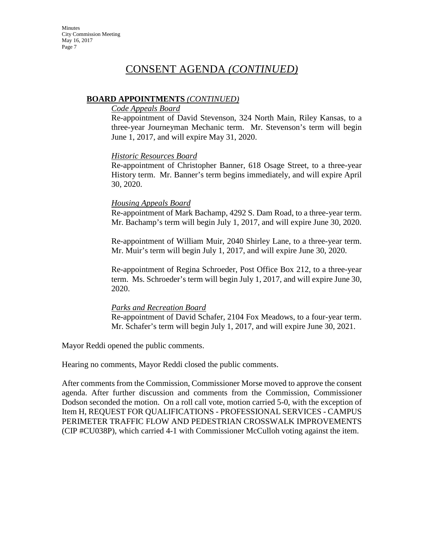# CONSENT AGENDA *(CONTINUED)*

# **BOARD APPOINTMENTS** *(CONTINUED)*

### *Code Appeals Board*

Re-appointment of David Stevenson, 324 North Main, Riley Kansas, to a three-year Journeyman Mechanic term. Mr. Stevenson's term will begin June 1, 2017, and will expire May 31, 2020.

# *Historic Resources Board*

Re-appointment of Christopher Banner, 618 Osage Street, to a three-year History term. Mr. Banner's term begins immediately, and will expire April 30, 2020.

## *Housing Appeals Board*

Re-appointment of Mark Bachamp, 4292 S. Dam Road, to a three-year term. Mr. Bachamp's term will begin July 1, 2017, and will expire June 30, 2020.

Re-appointment of William Muir, 2040 Shirley Lane, to a three-year term. Mr. Muir's term will begin July 1, 2017, and will expire June 30, 2020.

Re-appointment of Regina Schroeder, Post Office Box 212, to a three-year term. Ms. Schroeder's term will begin July 1, 2017, and will expire June 30, 2020.

### *Parks and Recreation Board*

Re-appointment of David Schafer, 2104 Fox Meadows, to a four-year term. Mr. Schafer's term will begin July 1, 2017, and will expire June 30, 2021.

Mayor Reddi opened the public comments.

Hearing no comments, Mayor Reddi closed the public comments.

After comments from the Commission, Commissioner Morse moved to approve the consent agenda. After further discussion and comments from the Commission, Commissioner Dodson seconded the motion. On a roll call vote, motion carried 5-0, with the exception of Item H, REQUEST FOR QUALIFICATIONS - PROFESSIONAL SERVICES - CAMPUS PERIMETER TRAFFIC FLOW AND PEDESTRIAN CROSSWALK IMPROVEMENTS (CIP #CU038P), which carried 4-1 with Commissioner McCulloh voting against the item.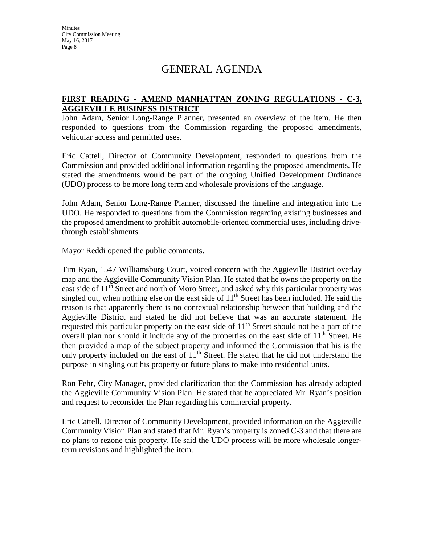# GENERAL AGENDA

# **FIRST READING - AMEND MANHATTAN ZONING REGULATIONS - C-3, AGGIEVILLE BUSINESS DISTRICT**

John Adam, Senior Long-Range Planner, presented an overview of the item. He then responded to questions from the Commission regarding the proposed amendments, vehicular access and permitted uses.

Eric Cattell, Director of Community Development, responded to questions from the Commission and provided additional information regarding the proposed amendments. He stated the amendments would be part of the ongoing Unified Development Ordinance (UDO) process to be more long term and wholesale provisions of the language.

John Adam, Senior Long-Range Planner, discussed the timeline and integration into the UDO. He responded to questions from the Commission regarding existing businesses and the proposed amendment to prohibit automobile-oriented commercial uses, including drivethrough establishments.

Mayor Reddi opened the public comments.

Tim Ryan, 1547 Williamsburg Court, voiced concern with the Aggieville District overlay map and the Aggieville Community Vision Plan. He stated that he owns the property on the east side of 11<sup>th</sup> Street and north of Moro Street, and asked why this particular property was singled out, when nothing else on the east side of  $11<sup>th</sup>$  Street has been included. He said the reason is that apparently there is no contextual relationship between that building and the Aggieville District and stated he did not believe that was an accurate statement. He requested this particular property on the east side of 11<sup>th</sup> Street should not be a part of the overall plan nor should it include any of the properties on the east side of  $11<sup>th</sup>$  Street. He then provided a map of the subject property and informed the Commission that his is the only property included on the east of  $11<sup>th</sup>$  Street. He stated that he did not understand the purpose in singling out his property or future plans to make into residential units.

Ron Fehr, City Manager, provided clarification that the Commission has already adopted the Aggieville Community Vision Plan. He stated that he appreciated Mr. Ryan's position and request to reconsider the Plan regarding his commercial property.

Eric Cattell, Director of Community Development, provided information on the Aggieville Community Vision Plan and stated that Mr. Ryan's property is zoned C-3 and that there are no plans to rezone this property. He said the UDO process will be more wholesale longerterm revisions and highlighted the item.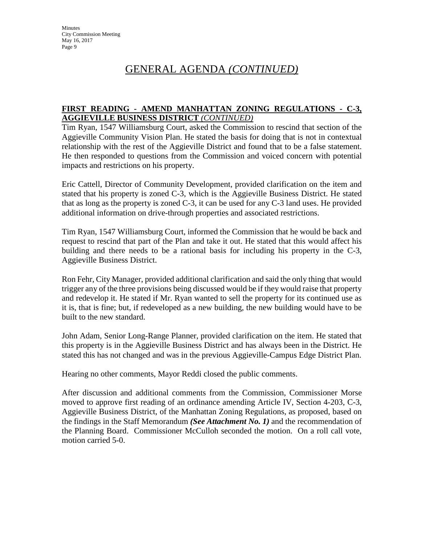# GENERAL AGENDA *(CONTINUED)*

# **FIRST READING - AMEND MANHATTAN ZONING REGULATIONS - C-3, AGGIEVILLE BUSINESS DISTRICT** *(CONTINUED)*

Tim Ryan, 1547 Williamsburg Court, asked the Commission to rescind that section of the Aggieville Community Vision Plan. He stated the basis for doing that is not in contextual relationship with the rest of the Aggieville District and found that to be a false statement. He then responded to questions from the Commission and voiced concern with potential impacts and restrictions on his property.

Eric Cattell, Director of Community Development, provided clarification on the item and stated that his property is zoned C-3, which is the Aggieville Business District. He stated that as long as the property is zoned C-3, it can be used for any C-3 land uses. He provided additional information on drive-through properties and associated restrictions.

Tim Ryan, 1547 Williamsburg Court, informed the Commission that he would be back and request to rescind that part of the Plan and take it out. He stated that this would affect his building and there needs to be a rational basis for including his property in the C-3, Aggieville Business District.

Ron Fehr, City Manager, provided additional clarification and said the only thing that would trigger any of the three provisions being discussed would be if they would raise that property and redevelop it. He stated if Mr. Ryan wanted to sell the property for its continued use as it is, that is fine; but, if redeveloped as a new building, the new building would have to be built to the new standard.

John Adam, Senior Long-Range Planner, provided clarification on the item. He stated that this property is in the Aggieville Business District and has always been in the District. He stated this has not changed and was in the previous Aggieville-Campus Edge District Plan.

Hearing no other comments, Mayor Reddi closed the public comments.

After discussion and additional comments from the Commission, Commissioner Morse moved to approve first reading of an ordinance amending Article IV, Section 4-203, C-3, Aggieville Business District, of the Manhattan Zoning Regulations, as proposed, based on the findings in the Staff Memorandum *(See Attachment No. 1)* and the recommendation of the Planning Board. Commissioner McCulloh seconded the motion. On a roll call vote, motion carried 5-0.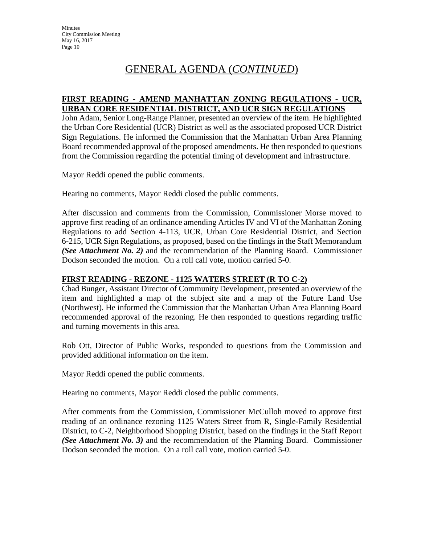# GENERAL AGENDA (*CONTINUED*)

### **FIRST READING - AMEND MANHATTAN ZONING REGULATIONS - UCR, URBAN CORE RESIDENTIAL DISTRICT, AND UCR SIGN REGULATIONS**

John Adam, Senior Long-Range Planner, presented an overview of the item. He highlighted the Urban Core Residential (UCR) District as well as the associated proposed UCR District Sign Regulations. He informed the Commission that the Manhattan Urban Area Planning Board recommended approval of the proposed amendments. He then responded to questions from the Commission regarding the potential timing of development and infrastructure.

Mayor Reddi opened the public comments.

Hearing no comments, Mayor Reddi closed the public comments.

After discussion and comments from the Commission, Commissioner Morse moved to approve first reading of an ordinance amending Articles IV and VI of the Manhattan Zoning Regulations to add Section 4-113, UCR, Urban Core Residential District, and Section 6-215, UCR Sign Regulations, as proposed, based on the findings in the Staff Memorandum *(See Attachment No. 2)* and the recommendation of the Planning Board. Commissioner Dodson seconded the motion. On a roll call vote, motion carried 5-0.

# **FIRST READING - REZONE - 1125 WATERS STREET (R TO C-2)**

Chad Bunger, Assistant Director of Community Development, presented an overview of the item and highlighted a map of the subject site and a map of the Future Land Use (Northwest). He informed the Commission that the Manhattan Urban Area Planning Board recommended approval of the rezoning. He then responded to questions regarding traffic and turning movements in this area.

Rob Ott, Director of Public Works, responded to questions from the Commission and provided additional information on the item.

Mayor Reddi opened the public comments.

Hearing no comments, Mayor Reddi closed the public comments.

After comments from the Commission, Commissioner McCulloh moved to approve first reading of an ordinance rezoning 1125 Waters Street from R, Single-Family Residential District, to C-2, Neighborhood Shopping District, based on the findings in the Staff Report *(See Attachment No. 3)* and the recommendation of the Planning Board. Commissioner Dodson seconded the motion. On a roll call vote, motion carried 5-0.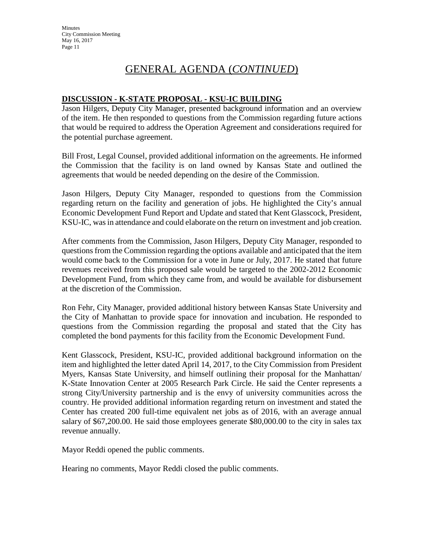# GENERAL AGENDA (*CONTINUED*)

## **DISCUSSION - K-STATE PROPOSAL - KSU-IC BUILDING**

Jason Hilgers, Deputy City Manager, presented background information and an overview of the item. He then responded to questions from the Commission regarding future actions that would be required to address the Operation Agreement and considerations required for the potential purchase agreement.

Bill Frost, Legal Counsel, provided additional information on the agreements. He informed the Commission that the facility is on land owned by Kansas State and outlined the agreements that would be needed depending on the desire of the Commission.

Jason Hilgers, Deputy City Manager, responded to questions from the Commission regarding return on the facility and generation of jobs. He highlighted the City's annual Economic Development Fund Report and Update and stated that Kent Glasscock, President, KSU-IC, wasin attendance and could elaborate on the return on investment and job creation.

After comments from the Commission, Jason Hilgers, Deputy City Manager, responded to questions from the Commission regarding the options available and anticipated that the item would come back to the Commission for a vote in June or July, 2017. He stated that future revenues received from this proposed sale would be targeted to the 2002-2012 Economic Development Fund, from which they came from, and would be available for disbursement at the discretion of the Commission.

Ron Fehr, City Manager, provided additional history between Kansas State University and the City of Manhattan to provide space for innovation and incubation. He responded to questions from the Commission regarding the proposal and stated that the City has completed the bond payments for this facility from the Economic Development Fund.

Kent Glasscock, President, KSU-IC, provided additional background information on the item and highlighted the letter dated April 14, 2017, to the City Commission from President Myers, Kansas State University, and himself outlining their proposal for the Manhattan/ K-State Innovation Center at 2005 Research Park Circle. He said the Center represents a strong City/University partnership and is the envy of university communities across the country. He provided additional information regarding return on investment and stated the Center has created 200 full-time equivalent net jobs as of 2016, with an average annual salary of \$67,200.00. He said those employees generate \$80,000.00 to the city in sales tax revenue annually.

Mayor Reddi opened the public comments.

Hearing no comments, Mayor Reddi closed the public comments.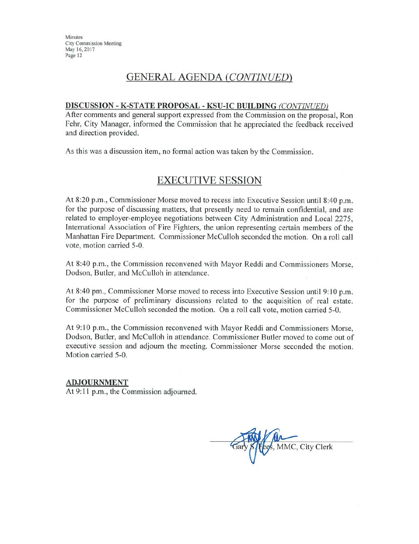# **GENERAL AGENDA (CONTINUED)**

#### DISCUSSION - K-STATE PROPOSAL - KSU-IC BUILDING (CONTINUED)

After comments and general support expressed from the Commission on the proposal, Ron Fehr, City Manager, informed the Commission that he appreciated the feedback received and direction provided.

As this was a discussion item, no formal action was taken by the Commission.

# **EXECUTIVE SESSION**

At 8:20 p.m., Commissioner Morse moved to recess into Executive Session until 8:40 p.m. for the purpose of discussing matters, that presently need to remain confidential, and are related to employer-employee negotiations between City Administration and Local 2275. International Association of Fire Fighters, the union representing certain members of the Manhattan Fire Department. Commissioner McCulloh seconded the motion. On a roll call vote, motion carried 5-0.

At 8:40 p.m., the Commission reconvened with Mayor Reddi and Commissioners Morse, Dodson, Butler, and McCulloh in attendance.

At 8:40 pm., Commissioner Morse moved to recess into Executive Session until 9:10 p.m. for the purpose of preliminary discussions related to the acquisition of real estate. Commissioner McCulloh seconded the motion. On a roll call vote, motion carried 5-0.

At 9:10 p.m., the Commission reconvened with Mayor Reddi and Commissioners Morse. Dodson, Butler, and McCulloh in attendance. Commissioner Butler moved to come out of executive session and adjourn the meeting. Commissioner Morse seconded the motion. Motion carried 5-0.

#### **ADJOURNMENT**

At 9:11 p.m., the Commission adjourned.

Fees, MMC, City Clerk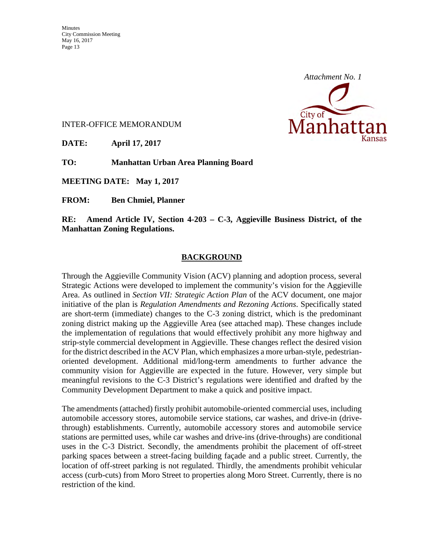

INTER-OFFICE MEMORANDUM

**DATE: April 17, 2017** 

**TO: Manhattan Urban Area Planning Board** 

**MEETING DATE: May 1, 2017** 

**FROM: Ben Chmiel, Planner** 

**RE: Amend Article IV, Section 4-203 – C-3, Aggieville Business District, of the Manhattan Zoning Regulations.** 

## **BACKGROUND**

Through the Aggieville Community Vision (ACV) planning and adoption process, several Strategic Actions were developed to implement the community's vision for the Aggieville Area. As outlined in *Section VII: Strategic Action Plan* of the ACV document, one major initiative of the plan is *Regulation Amendments and Rezoning Actions*. Specifically stated are short-term (immediate) changes to the C-3 zoning district, which is the predominant zoning district making up the Aggieville Area (see attached map). These changes include the implementation of regulations that would effectively prohibit any more highway and strip-style commercial development in Aggieville. These changes reflect the desired vision for the district described in the ACV Plan, which emphasizes a more urban-style, pedestrianoriented development. Additional mid/long-term amendments to further advance the community vision for Aggieville are expected in the future. However, very simple but meaningful revisions to the C-3 District's regulations were identified and drafted by the Community Development Department to make a quick and positive impact.

The amendments (attached) firstly prohibit automobile-oriented commercial uses, including automobile accessory stores, automobile service stations, car washes, and drive-in (drivethrough) establishments. Currently, automobile accessory stores and automobile service stations are permitted uses, while car washes and drive-ins (drive-throughs) are conditional uses in the C-3 District. Secondly, the amendments prohibit the placement of off-street parking spaces between a street-facing building façade and a public street. Currently, the location of off-street parking is not regulated. Thirdly, the amendments prohibit vehicular access (curb-cuts) from Moro Street to properties along Moro Street. Currently, there is no restriction of the kind.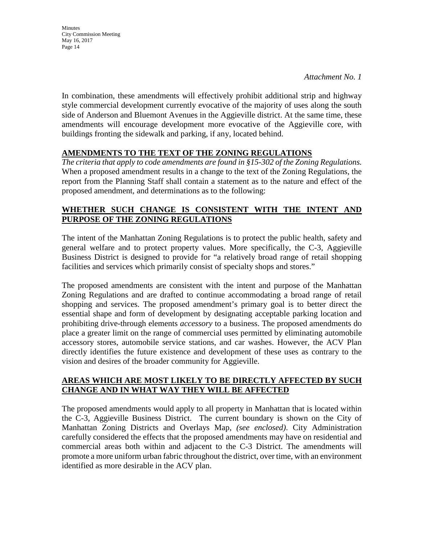*Attachment No. 1*

In combination, these amendments will effectively prohibit additional strip and highway style commercial development currently evocative of the majority of uses along the south side of Anderson and Bluemont Avenues in the Aggieville district. At the same time, these amendments will encourage development more evocative of the Aggieville core, with buildings fronting the sidewalk and parking, if any, located behind.

# **AMENDMENTS TO THE TEXT OF THE ZONING REGULATIONS**

*The criteria that apply to code amendments are found in §15-302 of the Zoning Regulations.*  When a proposed amendment results in a change to the text of the Zoning Regulations, the report from the Planning Staff shall contain a statement as to the nature and effect of the proposed amendment, and determinations as to the following:

# **WHETHER SUCH CHANGE IS CONSISTENT WITH THE INTENT AND PURPOSE OF THE ZONING REGULATIONS**

The intent of the Manhattan Zoning Regulations is to protect the public health, safety and general welfare and to protect property values. More specifically, the C-3, Aggieville Business District is designed to provide for "a relatively broad range of retail shopping facilities and services which primarily consist of specialty shops and stores."

The proposed amendments are consistent with the intent and purpose of the Manhattan Zoning Regulations and are drafted to continue accommodating a broad range of retail shopping and services. The proposed amendment's primary goal is to better direct the essential shape and form of development by designating acceptable parking location and prohibiting drive-through elements *accessory* to a business. The proposed amendments do place a greater limit on the range of commercial uses permitted by eliminating automobile accessory stores, automobile service stations, and car washes. However, the ACV Plan directly identifies the future existence and development of these uses as contrary to the vision and desires of the broader community for Aggieville.

# **AREAS WHICH ARE MOST LIKELY TO BE DIRECTLY AFFECTED BY SUCH CHANGE AND IN WHAT WAY THEY WILL BE AFFECTED**

The proposed amendments would apply to all property in Manhattan that is located within the C-3, Aggieville Business District. The current boundary is shown on the City of Manhattan Zoning Districts and Overlays Map, *(see enclosed)*. City Administration carefully considered the effects that the proposed amendments may have on residential and commercial areas both within and adjacent to the C-3 District. The amendments will promote a more uniform urban fabric throughout the district, over time, with an environment identified as more desirable in the ACV plan.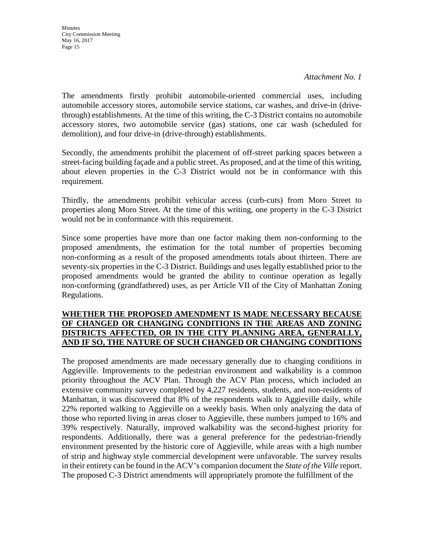*Attachment No. 1*

The amendments firstly prohibit automobile-oriented commercial uses, including automobile accessory stores, automobile service stations, car washes, and drive-in (drivethrough) establishments. At the time of this writing, the C-3 District contains no automobile accessory stores, two automobile service (gas) stations, one car wash (scheduled for demolition), and four drive-in (drive-through) establishments.

Secondly, the amendments prohibit the placement of off-street parking spaces between a street-facing building façade and a public street. As proposed, and at the time of this writing, about eleven properties in the C-3 District would not be in conformance with this requirement.

Thirdly, the amendments prohibit vehicular access (curb-cuts) from Moro Street to properties along Moro Street. At the time of this writing, one property in the C-3 District would not be in conformance with this requirement.

Since some properties have more than one factor making them non-conforming to the proposed amendments, the estimation for the total number of properties becoming non-conforming as a result of the proposed amendments totals about thirteen. There are seventy-six properties in the C-3 District. Buildings and uses legally established prior to the proposed amendments would be granted the ability to continue operation as legally non-conforming (grandfathered) uses, as per Article VII of the City of Manhattan Zoning Regulations.

# **WHETHER THE PROPOSED AMENDMENT IS MADE NECESSARY BECAUSE OF CHANGED OR CHANGING CONDITIONS IN THE AREAS AND ZONING DISTRICTS AFFECTED, OR IN THE CITY PLANNING AREA, GENERALLY, AND IF SO, THE NATURE OF SUCH CHANGED OR CHANGING CONDITIONS**

The proposed amendments are made necessary generally due to changing conditions in Aggieville. Improvements to the pedestrian environment and walkability is a common priority throughout the ACV Plan. Through the ACV Plan process, which included an extensive community survey completed by 4,227 residents, students, and non-residents of Manhattan, it was discovered that 8% of the respondents walk to Aggieville daily, while 22% reported walking to Aggieville on a weekly basis. When only analyzing the data of those who reported living in areas closer to Aggieville, these numbers jumped to 16% and 39% respectively. Naturally, improved walkability was the second-highest priority for respondents. Additionally, there was a general preference for the pedestrian-friendly environment presented by the historic core of Aggieville, while areas with a high number of strip and highway style commercial development were unfavorable. The survey results in their entirety can be found in the ACV's companion document the *State of the Ville* report. The proposed C-3 District amendments will appropriately promote the fulfillment of the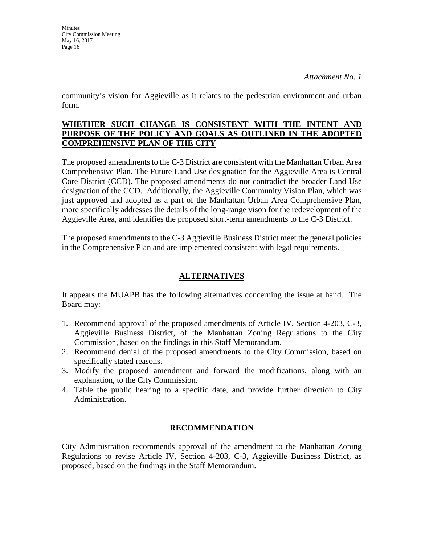**Minutes** 

*Attachment No. 1*

community's vision for Aggieville as it relates to the pedestrian environment and urban form.

## **WHETHER SUCH CHANGE IS CONSISTENT WITH THE INTENT AND PURPOSE OF THE POLICY AND GOALS AS OUTLINED IN THE ADOPTED COMPREHENSIVE PLAN OF THE CITY**

The proposed amendments to the C-3 District are consistent with the Manhattan Urban Area Comprehensive Plan. The Future Land Use designation for the Aggieville Area is Central Core District (CCD). The proposed amendments do not contradict the broader Land Use designation of the CCD. Additionally, the Aggieville Community Vision Plan, which was just approved and adopted as a part of the Manhattan Urban Area Comprehensive Plan, more specifically addresses the details of the long-range vison for the redevelopment of the Aggieville Area, and identifies the proposed short-term amendments to the C-3 District.

The proposed amendments to the C-3 Aggieville Business District meet the general policies in the Comprehensive Plan and are implemented consistent with legal requirements.

# **ALTERNATIVES**

It appears the MUAPB has the following alternatives concerning the issue at hand. The Board may:

- 1. Recommend approval of the proposed amendments of Article IV, Section 4-203, C-3, Aggieville Business District, of the Manhattan Zoning Regulations to the City Commission, based on the findings in this Staff Memorandum.
- 2. Recommend denial of the proposed amendments to the City Commission, based on specifically stated reasons.
- 3. Modify the proposed amendment and forward the modifications, along with an explanation, to the City Commission.
- 4. Table the public hearing to a specific date, and provide further direction to City Administration.

# **RECOMMENDATION**

City Administration recommends approval of the amendment to the Manhattan Zoning Regulations to revise Article IV, Section 4-203, C-3, Aggieville Business District, as proposed, based on the findings in the Staff Memorandum.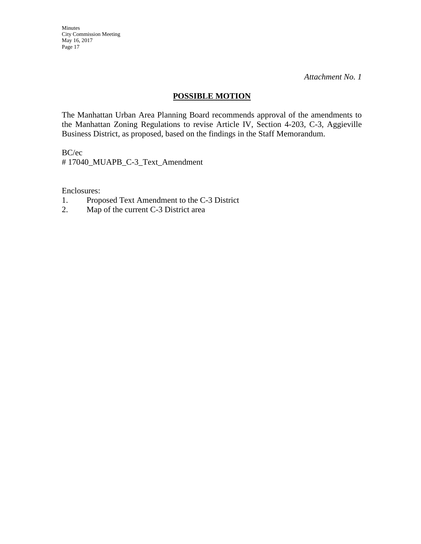*Attachment No. 1*

# **POSSIBLE MOTION**

The Manhattan Urban Area Planning Board recommends approval of the amendments to the Manhattan Zoning Regulations to revise Article IV, Section 4-203, C-3, Aggieville Business District, as proposed, based on the findings in the Staff Memorandum.

BC/ec

# 17040\_MUAPB\_C-3\_Text\_Amendment

Enclosures:

- 1. Proposed Text Amendment to the C-3 District
- 2. Map of the current C-3 District area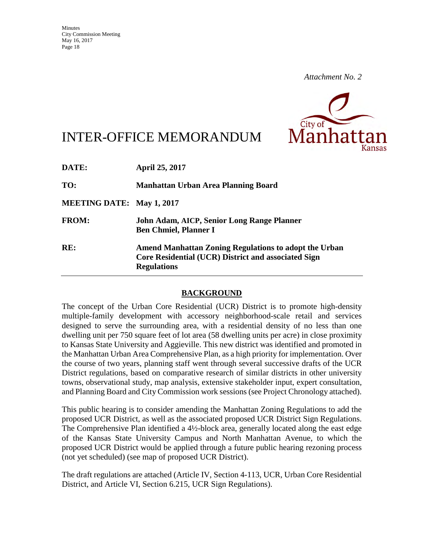

# INTER-OFFICE MEMORANDUM

| <b>April 25, 2017</b>                                                                                                                     |
|-------------------------------------------------------------------------------------------------------------------------------------------|
| Manhattan Urban Area Planning Board                                                                                                       |
| <b>MEETING DATE: May 1, 2017</b>                                                                                                          |
| John Adam, AICP, Senior Long Range Planner<br><b>Ben Chmiel, Planner I</b>                                                                |
| <b>Amend Manhattan Zoning Regulations to adopt the Urban</b><br>Core Residential (UCR) District and associated Sign<br><b>Regulations</b> |
|                                                                                                                                           |

# **BACKGROUND**

The concept of the Urban Core Residential (UCR) District is to promote high-density multiple-family development with accessory neighborhood-scale retail and services designed to serve the surrounding area, with a residential density of no less than one dwelling unit per 750 square feet of lot area (58 dwelling units per acre) in close proximity to Kansas State University and Aggieville. This new district was identified and promoted in the Manhattan Urban Area Comprehensive Plan, as a high priority for implementation. Over the course of two years, planning staff went through several successive drafts of the UCR District regulations, based on comparative research of similar districts in other university towns, observational study, map analysis, extensive stakeholder input, expert consultation, and Planning Board and City Commission work sessions (see Project Chronology attached).

This public hearing is to consider amending the Manhattan Zoning Regulations to add the proposed UCR District, as well as the associated proposed UCR District Sign Regulations. The Comprehensive Plan identified a 4½-block area, generally located along the east edge of the Kansas State University Campus and North Manhattan Avenue, to which the proposed UCR District would be applied through a future public hearing rezoning process (not yet scheduled) (see map of proposed UCR District).

The draft regulations are attached (Article IV, Section 4-113, UCR, Urban Core Residential District, and Article VI, Section 6.215, UCR Sign Regulations).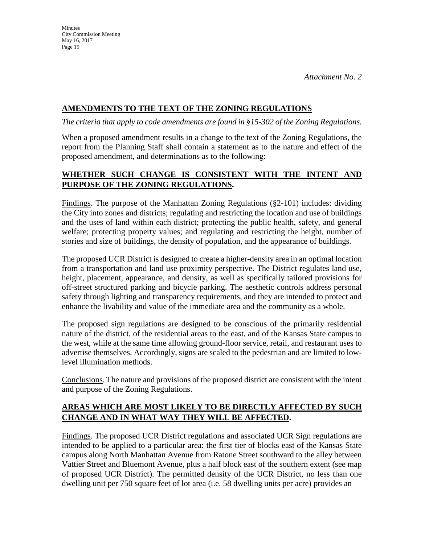# **AMENDMENTS TO THE TEXT OF THE ZONING REGULATIONS**

*The criteria that apply to code amendments are found in §15-302 of the Zoning Regulations.* 

When a proposed amendment results in a change to the text of the Zoning Regulations, the report from the Planning Staff shall contain a statement as to the nature and effect of the proposed amendment, and determinations as to the following:

# **WHETHER SUCH CHANGE IS CONSISTENT WITH THE INTENT AND PURPOSE OF THE ZONING REGULATIONS.**

Findings. The purpose of the Manhattan Zoning Regulations (§2-101) includes: dividing the City into zones and districts; regulating and restricting the location and use of buildings and the uses of land within each district; protecting the public health, safety, and general welfare; protecting property values; and regulating and restricting the height, number of stories and size of buildings, the density of population, and the appearance of buildings.

The proposed UCR District is designed to create a higher-density area in an optimal location from a transportation and land use proximity perspective. The District regulates land use, height, placement, appearance, and density, as well as specifically tailored provisions for off-street structured parking and bicycle parking. The aesthetic controls address personal safety through lighting and transparency requirements, and they are intended to protect and enhance the livability and value of the immediate area and the community as a whole.

The proposed sign regulations are designed to be conscious of the primarily residential nature of the district, of the residential areas to the east, and of the Kansas State campus to the west, while at the same time allowing ground-floor service, retail, and restaurant uses to advertise themselves. Accordingly, signs are scaled to the pedestrian and are limited to lowlevel illumination methods.

Conclusions. The nature and provisions of the proposed district are consistent with the intent and purpose of the Zoning Regulations.

# **AREAS WHICH ARE MOST LIKELY TO BE DIRECTLY AFFECTED BY SUCH CHANGE AND IN WHAT WAY THEY WILL BE AFFECTED.**

Findings. The proposed UCR District regulations and associated UCR Sign regulations are intended to be applied to a particular area: the first tier of blocks east of the Kansas State campus along North Manhattan Avenue from Ratone Street southward to the alley between Vattier Street and Bluemont Avenue, plus a half block east of the southern extent (see map of proposed UCR District). The permitted density of the UCR District, no less than one dwelling unit per 750 square feet of lot area (i.e. 58 dwelling units per acre) provides an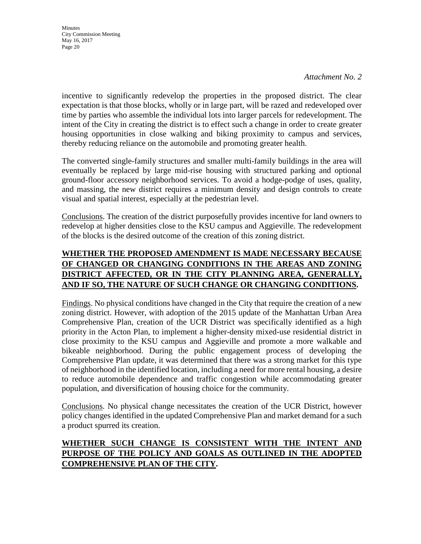*Attachment No. 2*

incentive to significantly redevelop the properties in the proposed district. The clear expectation is that those blocks, wholly or in large part, will be razed and redeveloped over time by parties who assemble the individual lots into larger parcels for redevelopment. The intent of the City in creating the district is to effect such a change in order to create greater housing opportunities in close walking and biking proximity to campus and services, thereby reducing reliance on the automobile and promoting greater health.

The converted single-family structures and smaller multi-family buildings in the area will eventually be replaced by large mid-rise housing with structured parking and optional ground-floor accessory neighborhood services. To avoid a hodge-podge of uses, quality, and massing, the new district requires a minimum density and design controls to create visual and spatial interest, especially at the pedestrian level.

Conclusions. The creation of the district purposefully provides incentive for land owners to redevelop at higher densities close to the KSU campus and Aggieville. The redevelopment of the blocks is the desired outcome of the creation of this zoning district.

# **WHETHER THE PROPOSED AMENDMENT IS MADE NECESSARY BECAUSE OF CHANGED OR CHANGING CONDITIONS IN THE AREAS AND ZONING DISTRICT AFFECTED, OR IN THE CITY PLANNING AREA, GENERALLY, AND IF SO, THE NATURE OF SUCH CHANGE OR CHANGING CONDITIONS.**

Findings. No physical conditions have changed in the City that require the creation of a new zoning district. However, with adoption of the 2015 update of the Manhattan Urban Area Comprehensive Plan, creation of the UCR District was specifically identified as a high priority in the Acton Plan, to implement a higher-density mixed-use residential district in close proximity to the KSU campus and Aggieville and promote a more walkable and bikeable neighborhood. During the public engagement process of developing the Comprehensive Plan update, it was determined that there was a strong market for this type of neighborhood in the identified location, including a need for more rental housing, a desire to reduce automobile dependence and traffic congestion while accommodating greater population, and diversification of housing choice for the community.

Conclusions. No physical change necessitates the creation of the UCR District, however policy changes identified in the updated Comprehensive Plan and market demand for a such a product spurred its creation.

# **WHETHER SUCH CHANGE IS CONSISTENT WITH THE INTENT AND PURPOSE OF THE POLICY AND GOALS AS OUTLINED IN THE ADOPTED COMPREHENSIVE PLAN OF THE CITY.**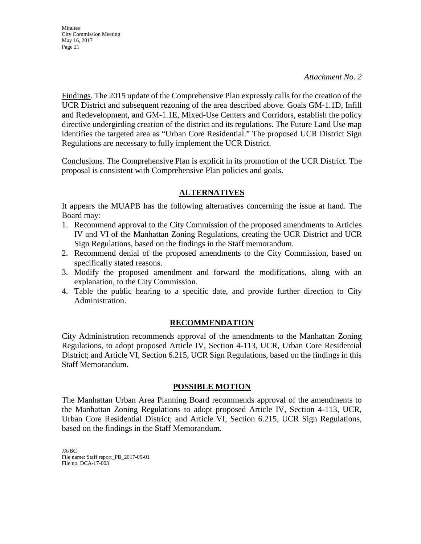#### *Attachment No. 2*

Findings. The 2015 update of the Comprehensive Plan expressly calls for the creation of the UCR District and subsequent rezoning of the area described above. Goals GM-1.1D, Infill and Redevelopment, and GM-1.1E, Mixed-Use Centers and Corridors, establish the policy directive undergirding creation of the district and its regulations. The Future Land Use map identifies the targeted area as "Urban Core Residential." The proposed UCR District Sign Regulations are necessary to fully implement the UCR District.

Conclusions. The Comprehensive Plan is explicit in its promotion of the UCR District. The proposal is consistent with Comprehensive Plan policies and goals.

# **ALTERNATIVES**

It appears the MUAPB has the following alternatives concerning the issue at hand. The Board may:

- 1. Recommend approval to the City Commission of the proposed amendments to Articles IV and VI of the Manhattan Zoning Regulations, creating the UCR District and UCR Sign Regulations, based on the findings in the Staff memorandum.
- 2. Recommend denial of the proposed amendments to the City Commission, based on specifically stated reasons.
- 3. Modify the proposed amendment and forward the modifications, along with an explanation, to the City Commission.
- 4. Table the public hearing to a specific date, and provide further direction to City Administration.

# **RECOMMENDATION**

City Administration recommends approval of the amendments to the Manhattan Zoning Regulations, to adopt proposed Article IV, Section 4-113, UCR, Urban Core Residential District; and Article VI, Section 6.215, UCR Sign Regulations, based on the findings in this Staff Memorandum.

# **POSSIBLE MOTION**

The Manhattan Urban Area Planning Board recommends approval of the amendments to the Manhattan Zoning Regulations to adopt proposed Article IV, Section 4-113, UCR, Urban Core Residential District; and Article VI, Section 6.215, UCR Sign Regulations, based on the findings in the Staff Memorandum.

JA/BC File name: Staff report\_PB\_2017-05-01 File no. DCA-17-003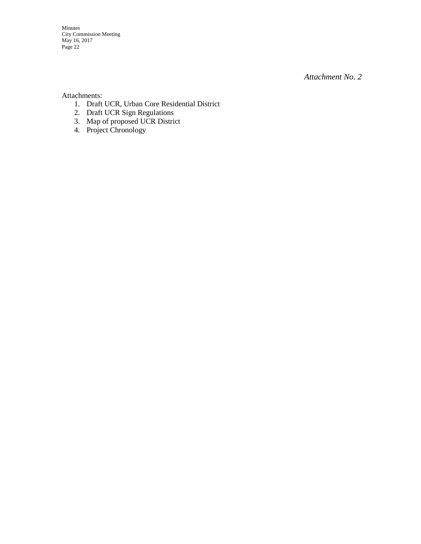*Attachment No. 2*

Attachments:

- 1. Draft UCR, Urban Core Residential District
- 2. Draft UCR Sign Regulations
- 3. Map of proposed UCR District
- 4. Project Chronology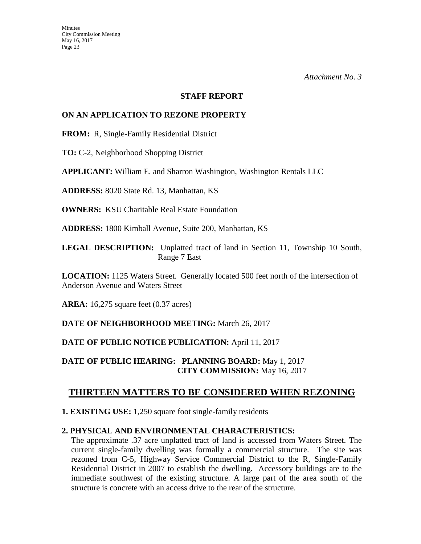#### **STAFF REPORT**

## **ON AN APPLICATION TO REZONE PROPERTY**

**FROM:** R, Single-Family Residential District

**TO:** C-2, Neighborhood Shopping District

**APPLICANT:** William E. and Sharron Washington, Washington Rentals LLC

**ADDRESS:** 8020 State Rd. 13, Manhattan, KS

**OWNERS:** KSU Charitable Real Estate Foundation

**ADDRESS:** 1800 Kimball Avenue, Suite 200, Manhattan, KS

**LEGAL DESCRIPTION:** Unplatted tract of land in Section 11, Township 10 South, Range 7 East

**LOCATION:** 1125 Waters Street. Generally located 500 feet north of the intersection of Anderson Avenue and Waters Street

**AREA:** 16,275 square feet (0.37 acres)

**DATE OF NEIGHBORHOOD MEETING:** March 26, 2017

**DATE OF PUBLIC NOTICE PUBLICATION:** April 11, 2017

**DATE OF PUBLIC HEARING: PLANNING BOARD:** May 1, 2017 **CITY COMMISSION:** May 16, 2017

# **THIRTEEN MATTERS TO BE CONSIDERED WHEN REZONING**

**1. EXISTING USE:** 1,250 square foot single-family residents

# **2. PHYSICAL AND ENVIRONMENTAL CHARACTERISTICS:**

The approximate .37 acre unplatted tract of land is accessed from Waters Street. The current single-family dwelling was formally a commercial structure. The site was rezoned from C-5, Highway Service Commercial District to the R, Single-Family Residential District in 2007 to establish the dwelling. Accessory buildings are to the immediate southwest of the existing structure. A large part of the area south of the structure is concrete with an access drive to the rear of the structure.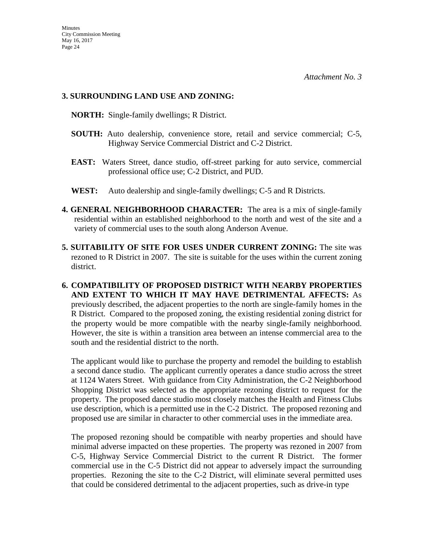## **3. SURROUNDING LAND USE AND ZONING:**

 **NORTH:** Single-family dwellings; R District.

- **SOUTH:** Auto dealership, convenience store, retail and service commercial; C-5, Highway Service Commercial District and C-2 District.
- **EAST:** Waters Street, dance studio, off-street parking for auto service, commercial professional office use; C-2 District, and PUD.
- **WEST:** Auto dealership and single-family dwellings; C-5 and R Districts.
- **4. GENERAL NEIGHBORHOOD CHARACTER:** The area is a mix of single-family residential within an established neighborhood to the north and west of the site and a variety of commercial uses to the south along Anderson Avenue.
- **5. SUITABILITY OF SITE FOR USES UNDER CURRENT ZONING:** The site was rezoned to R District in 2007. The site is suitable for the uses within the current zoning district.
- **6. COMPATIBILITY OF PROPOSED DISTRICT WITH NEARBY PROPERTIES AND EXTENT TO WHICH IT MAY HAVE DETRIMENTAL AFFECTS:** As previously described, the adjacent properties to the north are single-family homes in the R District. Compared to the proposed zoning, the existing residential zoning district for the property would be more compatible with the nearby single-family neighborhood. However, the site is within a transition area between an intense commercial area to the south and the residential district to the north.

The applicant would like to purchase the property and remodel the building to establish a second dance studio. The applicant currently operates a dance studio across the street at 1124 Waters Street. With guidance from City Administration, the C-2 Neighborhood Shopping District was selected as the appropriate rezoning district to request for the property. The proposed dance studio most closely matches the Health and Fitness Clubs use description, which is a permitted use in the C-2 District. The proposed rezoning and proposed use are similar in character to other commercial uses in the immediate area.

The proposed rezoning should be compatible with nearby properties and should have minimal adverse impacted on these properties. The property was rezoned in 2007 from C-5, Highway Service Commercial District to the current R District. The former commercial use in the C-5 District did not appear to adversely impact the surrounding properties. Rezoning the site to the C-2 District, will eliminate several permitted uses that could be considered detrimental to the adjacent properties, such as drive-in type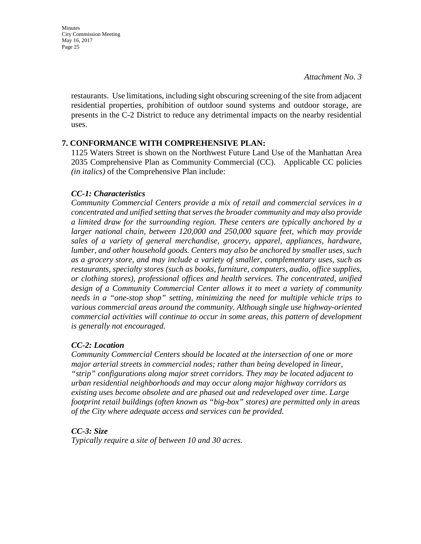**Minutes** City Commission Meeting May 16, 2017 Page 25

> restaurants. Use limitations, including sight obscuring screening of the site from adjacent residential properties, prohibition of outdoor sound systems and outdoor storage, are presents in the C-2 District to reduce any detrimental impacts on the nearby residential uses.

## **7. CONFORMANCE WITH COMPREHENSIVE PLAN:**

1125 Waters Street is shown on the Northwest Future Land Use of the Manhattan Area 2035 Comprehensive Plan as Community Commercial (CC). Applicable CC policies *(in italics)* of the Comprehensive Plan include:

## *CC-1: Characteristics*

*Community Commercial Centers provide a mix of retail and commercial services in a concentrated and unified setting that serves the broader community and may also provide a limited draw for the surrounding region. These centers are typically anchored by a larger national chain, between 120,000 and 250,000 square feet, which may provide sales of a variety of general merchandise, grocery, apparel, appliances, hardware, lumber, and other household goods. Centers may also be anchored by smaller uses, such as a grocery store, and may include a variety of smaller, complementary uses, such as restaurants, specialty stores (such as books, furniture, computers, audio, office supplies, or clothing stores), professional offices and health services. The concentrated, unified design of a Community Commercial Center allows it to meet a variety of community needs in a "one-stop shop" setting, minimizing the need for multiple vehicle trips to various commercial areas around the community. Although single use highway-oriented commercial activities will continue to occur in some areas, this pattern of development is generally not encouraged.* 

# *CC-2: Location*

*Community Commercial Centers should be located at the intersection of one or more major arterial streets in commercial nodes; rather than being developed in linear, "strip" configurations along major street corridors. They may be located adjacent to urban residential neighborhoods and may occur along major highway corridors as existing uses become obsolete and are phased out and redeveloped over time. Large footprint retail buildings (often known as "big-box" stores) are permitted only in areas of the City where adequate access and services can be provided.* 

# *CC-3: Size*

*Typically require a site of between 10 and 30 acres.*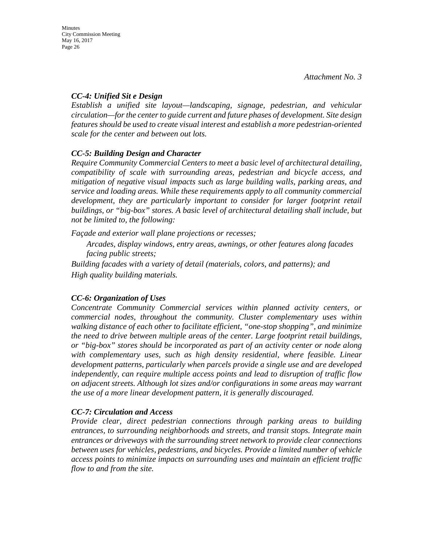# *CC-4: Unified Sit e Design*

*Establish a unified site layout—landscaping, signage, pedestrian, and vehicular circulation—for the center to guide current and future phases of development. Site design features should be used to create visual interest and establish a more pedestrian-oriented scale for the center and between out lots.* 

# *CC-5: Building Design and Character*

*Require Community Commercial Centers to meet a basic level of architectural detailing, compatibility of scale with surrounding areas, pedestrian and bicycle access, and mitigation of negative visual impacts such as large building walls, parking areas, and service and loading areas. While these requirements apply to all community commercial development, they are particularly important to consider for larger footprint retail buildings, or "big-box" stores. A basic level of architectural detailing shall include, but not be limited to, the following:* 

*Façade and exterior wall plane projections or recesses;* 

*Arcades, display windows, entry areas, awnings, or other features along facades facing public streets;* 

*Building facades with a variety of detail (materials, colors, and patterns); and High quality building materials.* 

# *CC-6: Organization of Uses*

*Concentrate Community Commercial services within planned activity centers, or commercial nodes, throughout the community. Cluster complementary uses within walking distance of each other to facilitate efficient, "one-stop shopping", and minimize the need to drive between multiple areas of the center. Large footprint retail buildings, or "big-box" stores should be incorporated as part of an activity center or node along*  with complementary uses, such as high density residential, where feasible. Linear *development patterns, particularly when parcels provide a single use and are developed independently, can require multiple access points and lead to disruption of traffic flow on adjacent streets. Although lot sizes and/or configurations in some areas may warrant the use of a more linear development pattern, it is generally discouraged.* 

# *CC-7: Circulation and Access*

*Provide clear, direct pedestrian connections through parking areas to building entrances, to surrounding neighborhoods and streets, and transit stops. Integrate main entrances or driveways with the surrounding street network to provide clear connections between uses for vehicles, pedestrians, and bicycles. Provide a limited number of vehicle access points to minimize impacts on surrounding uses and maintain an efficient traffic flow to and from the site.*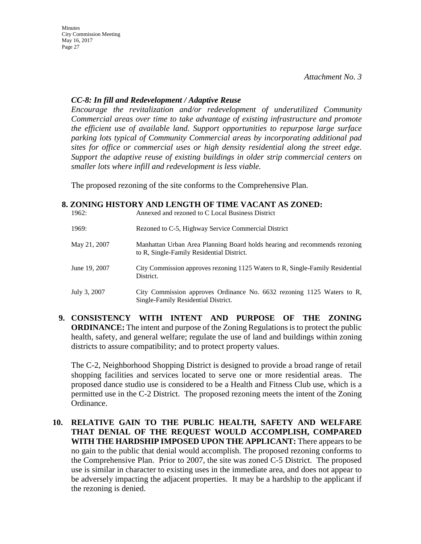## *CC-8: In fill and Redevelopment / Adaptive Reuse*

*Encourage the revitalization and/or redevelopment of underutilized Community Commercial areas over time to take advantage of existing infrastructure and promote the efficient use of available land. Support opportunities to repurpose large surface parking lots typical of Community Commercial areas by incorporating additional pad sites for office or commercial uses or high density residential along the street edge. Support the adaptive reuse of existing buildings in older strip commercial centers on smaller lots where infill and redevelopment is less viable.*

The proposed rezoning of the site conforms to the Comprehensive Plan.

### **8. ZONING HISTORY AND LENGTH OF TIME VACANT AS ZONED:**

| 1962:         | Annexed and rezoned to C Local Business District                                                                       |
|---------------|------------------------------------------------------------------------------------------------------------------------|
| 1969:         | Rezoned to C-5, Highway Service Commercial District                                                                    |
| May 21, 2007  | Manhattan Urban Area Planning Board holds hearing and recommends rezoning<br>to R, Single-Family Residential District. |
| June 19, 2007 | City Commission approves rezoning 1125 Waters to R, Single-Family Residential<br>District.                             |
| July 3, 2007  | City Commission approves Ordinance No. 6632 rezoning 1125 Waters to R,<br>Single-Family Residential District.          |

**9. CONSISTENCY WITH INTENT AND PURPOSE OF THE ZONING ORDINANCE:** The intent and purpose of the Zoning Regulations is to protect the public health, safety, and general welfare; regulate the use of land and buildings within zoning districts to assure compatibility; and to protect property values.

The C-2, Neighborhood Shopping District is designed to provide a broad range of retail shopping facilities and services located to serve one or more residential areas. The proposed dance studio use is considered to be a Health and Fitness Club use, which is a permitted use in the C-2 District. The proposed rezoning meets the intent of the Zoning Ordinance.

**10. RELATIVE GAIN TO THE PUBLIC HEALTH, SAFETY AND WELFARE THAT DENIAL OF THE REQUEST WOULD ACCOMPLISH, COMPARED WITH THE HARDSHIP IMPOSED UPON THE APPLICANT:** There appears to be no gain to the public that denial would accomplish. The proposed rezoning conforms to the Comprehensive Plan. Prior to 2007, the site was zoned C-5 District. The proposed use is similar in character to existing uses in the immediate area, and does not appear to be adversely impacting the adjacent properties. It may be a hardship to the applicant if the rezoning is denied.